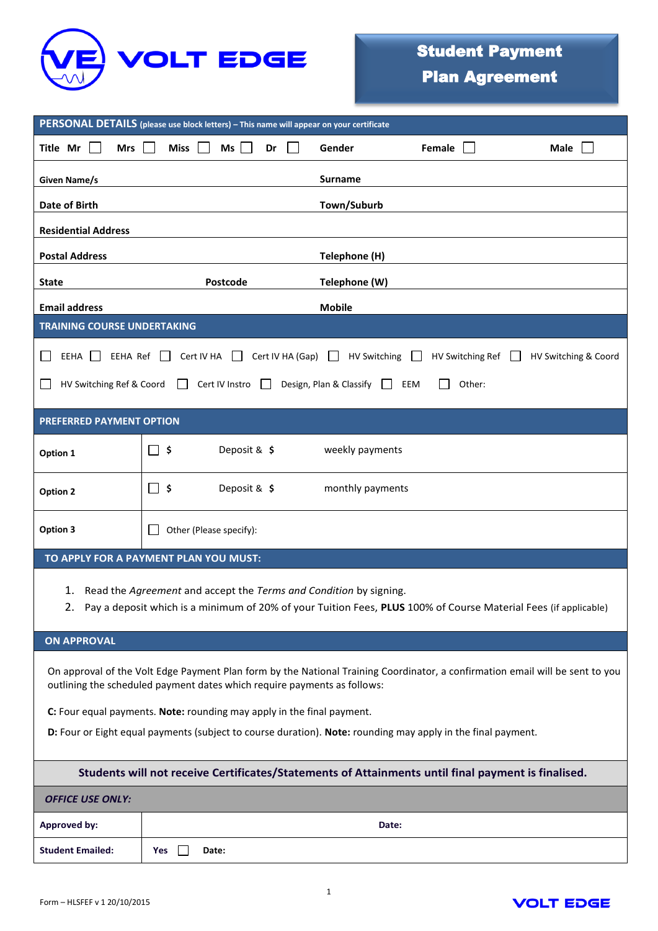

| PERSONAL DETAILS (please use block letters) - This name will appear on your certificate                                                                                                                   |                         |                  |        |      |  |
|-----------------------------------------------------------------------------------------------------------------------------------------------------------------------------------------------------------|-------------------------|------------------|--------|------|--|
| Title Mr<br><b>Mrs</b>                                                                                                                                                                                    | Miss<br>Ms<br>Dr        | Gender           | Female | Male |  |
| Given Name/s                                                                                                                                                                                              |                         | <b>Surname</b>   |        |      |  |
| Date of Birth                                                                                                                                                                                             |                         | Town/Suburb      |        |      |  |
| <b>Residential Address</b>                                                                                                                                                                                |                         |                  |        |      |  |
| <b>Postal Address</b>                                                                                                                                                                                     |                         | Telephone (H)    |        |      |  |
| <b>State</b>                                                                                                                                                                                              | Postcode                | Telephone (W)    |        |      |  |
| <b>Email address</b>                                                                                                                                                                                      |                         | <b>Mobile</b>    |        |      |  |
| <b>TRAINING COURSE UNDERTAKING</b>                                                                                                                                                                        |                         |                  |        |      |  |
| Cert IV HA (Gap) $\Box$<br>Cert IV HA<br><b>HV Switching</b><br>HV Switching Ref<br>EEHA Ref<br>HV Switching & Coord<br>EEHA<br>$\mathbf{1}$<br>$\mathbf{1}$<br>$\mathbf{1}$<br>$\mathbf{1}$              |                         |                  |        |      |  |
| HV Switching Ref & Coord<br>Cert IV Instro<br>Design, Plan & Classify<br>EEM<br>Other:<br>$\mathbf{L}$                                                                                                    |                         |                  |        |      |  |
| <b>PREFERRED PAYMENT OPTION</b>                                                                                                                                                                           |                         |                  |        |      |  |
| Option 1                                                                                                                                                                                                  | Deposit & \$<br>\$      | weekly payments  |        |      |  |
| <b>Option 2</b>                                                                                                                                                                                           | Deposit & \$<br>ל ⊡     | monthly payments |        |      |  |
| Option 3                                                                                                                                                                                                  | Other (Please specify): |                  |        |      |  |
| TO APPLY FOR A PAYMENT PLAN YOU MUST:                                                                                                                                                                     |                         |                  |        |      |  |
| 1. Read the Agreement and accept the Terms and Condition by signing.<br>2.<br>Pay a deposit which is a minimum of 20% of your Tuition Fees, PLUS 100% of Course Material Fees (if applicable)             |                         |                  |        |      |  |
| <b>ON APPROVAL</b>                                                                                                                                                                                        |                         |                  |        |      |  |
| On approval of the Volt Edge Payment Plan form by the National Training Coordinator, a confirmation email will be sent to you<br>outlining the scheduled payment dates which require payments as follows: |                         |                  |        |      |  |
| C: Four equal payments. Note: rounding may apply in the final payment.                                                                                                                                    |                         |                  |        |      |  |
| D: Four or Eight equal payments (subject to course duration). Note: rounding may apply in the final payment.                                                                                              |                         |                  |        |      |  |
| Students will not receive Certificates/Statements of Attainments until final payment is finalised.                                                                                                        |                         |                  |        |      |  |
| <b>OFFICE USE ONLY:</b>                                                                                                                                                                                   |                         |                  |        |      |  |
| <b>Approved by:</b>                                                                                                                                                                                       |                         | Date:            |        |      |  |
| <b>Student Emailed:</b>                                                                                                                                                                                   | Yes<br>Date:            |                  |        |      |  |